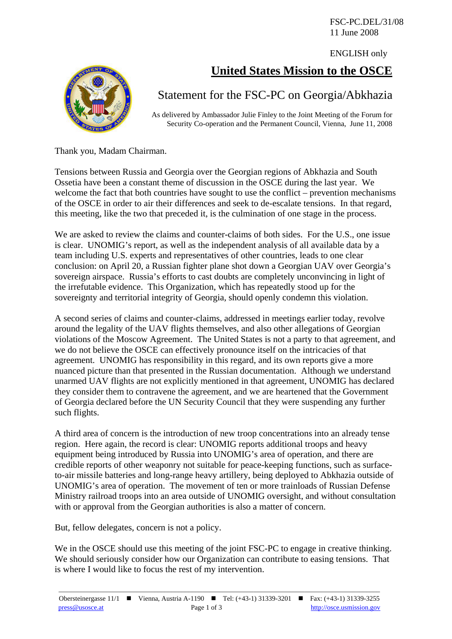FSC-PC.DEL/31/08 11 June 2008

ENGLISH only

## **United States Mission to the OSCE**



## Statement for the FSC-PC on Georgia/Abkhazia

As delivered by Ambassador Julie Finley to the Joint Meeting of the Forum for Security Co-operation and the Permanent Council, Vienna, June 11, 2008

Thank you, Madam Chairman.

Tensions between Russia and Georgia over the Georgian regions of Abkhazia and South Ossetia have been a constant theme of discussion in the OSCE during the last year. We welcome the fact that both countries have sought to use the conflict – prevention mechanisms of the OSCE in order to air their differences and seek to de-escalate tensions. In that regard, this meeting, like the two that preceded it, is the culmination of one stage in the process.

We are asked to review the claims and counter-claims of both sides. For the U.S., one issue is clear. UNOMIG's report, as well as the independent analysis of all available data by a team including U.S. experts and representatives of other countries, leads to one clear conclusion: on April 20, a Russian fighter plane shot down a Georgian UAV over Georgia's sovereign airspace. Russia's efforts to cast doubts are completely unconvincing in light of the irrefutable evidence. This Organization, which has repeatedly stood up for the sovereignty and territorial integrity of Georgia, should openly condemn this violation.

A second series of claims and counter-claims, addressed in meetings earlier today, revolve around the legality of the UAV flights themselves, and also other allegations of Georgian violations of the Moscow Agreement. The United States is not a party to that agreement, and we do not believe the OSCE can effectively pronounce itself on the intricacies of that agreement. UNOMIG has responsibility in this regard, and its own reports give a more nuanced picture than that presented in the Russian documentation. Although we understand unarmed UAV flights are not explicitly mentioned in that agreement, UNOMIG has declared they consider them to contravene the agreement, and we are heartened that the Government of Georgia declared before the UN Security Council that they were suspending any further such flights.

A third area of concern is the introduction of new troop concentrations into an already tense region. Here again, the record is clear: UNOMIG reports additional troops and heavy equipment being introduced by Russia into UNOMIG's area of operation, and there are credible reports of other weaponry not suitable for peace-keeping functions, such as surfaceto-air missile batteries and long-range heavy artillery, being deployed to Abkhazia outside of UNOMIG's area of operation. The movement of ten or more trainloads of Russian Defense Ministry railroad troops into an area outside of UNOMIG oversight, and without consultation with or approval from the Georgian authorities is also a matter of concern.

But, fellow delegates, concern is not a policy.

We in the OSCE should use this meeting of the joint FSC-PC to engage in creative thinking. We should seriously consider how our Organization can contribute to easing tensions. That is where I would like to focus the rest of my intervention.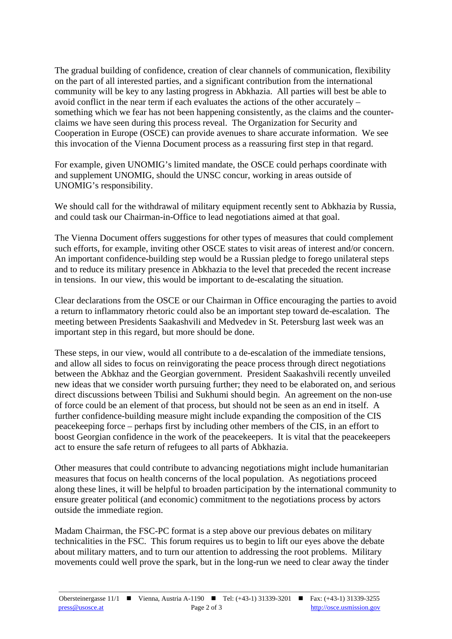The gradual building of confidence, creation of clear channels of communication, flexibility on the part of all interested parties, and a significant contribution from the international community will be key to any lasting progress in Abkhazia. All parties will best be able to avoid conflict in the near term if each evaluates the actions of the other accurately – something which we fear has not been happening consistently, as the claims and the counterclaims we have seen during this process reveal. The Organization for Security and Cooperation in Europe (OSCE) can provide avenues to share accurate information. We see this invocation of the Vienna Document process as a reassuring first step in that regard.

For example, given UNOMIG's limited mandate, the OSCE could perhaps coordinate with and supplement UNOMIG, should the UNSC concur, working in areas outside of UNOMIG's responsibility.

We should call for the withdrawal of military equipment recently sent to Abkhazia by Russia, and could task our Chairman-in-Office to lead negotiations aimed at that goal.

The Vienna Document offers suggestions for other types of measures that could complement such efforts, for example, inviting other OSCE states to visit areas of interest and/or concern. An important confidence-building step would be a Russian pledge to forego unilateral steps and to reduce its military presence in Abkhazia to the level that preceded the recent increase in tensions. In our view, this would be important to de-escalating the situation.

Clear declarations from the OSCE or our Chairman in Office encouraging the parties to avoid a return to inflammatory rhetoric could also be an important step toward de-escalation. The meeting between Presidents Saakashvili and Medvedev in St. Petersburg last week was an important step in this regard, but more should be done.

These steps, in our view, would all contribute to a de-escalation of the immediate tensions, and allow all sides to focus on reinvigorating the peace process through direct negotiations between the Abkhaz and the Georgian government. President Saakashvili recently unveiled new ideas that we consider worth pursuing further; they need to be elaborated on, and serious direct discussions between Tbilisi and Sukhumi should begin. An agreement on the non-use of force could be an element of that process, but should not be seen as an end in itself. A further confidence-building measure might include expanding the composition of the CIS peacekeeping force – perhaps first by including other members of the CIS, in an effort to boost Georgian confidence in the work of the peacekeepers. It is vital that the peacekeepers act to ensure the safe return of refugees to all parts of Abkhazia.

Other measures that could contribute to advancing negotiations might include humanitarian measures that focus on health concerns of the local population. As negotiations proceed along these lines, it will be helpful to broaden participation by the international community to ensure greater political (and economic) commitment to the negotiations process by actors outside the immediate region.

Madam Chairman, the FSC-PC format is a step above our previous debates on military technicalities in the FSC. This forum requires us to begin to lift our eyes above the debate about military matters, and to turn our attention to addressing the root problems. Military movements could well prove the spark, but in the long-run we need to clear away the tinder